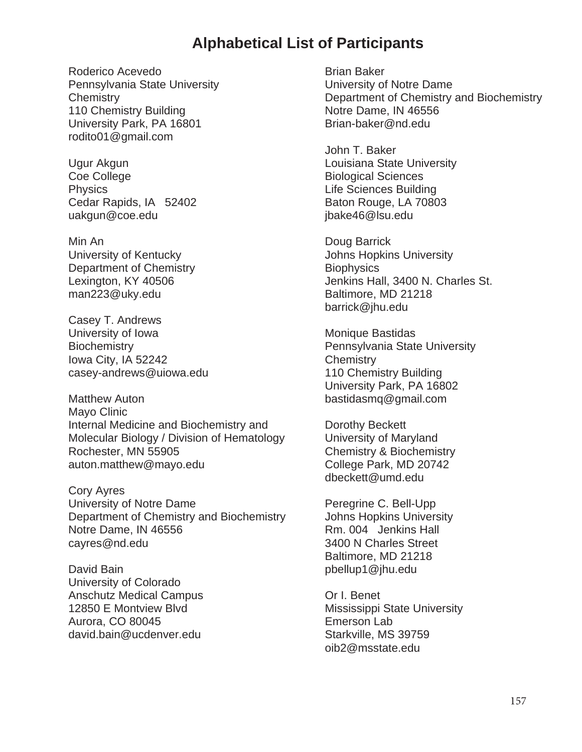## **Alphabetical List of Participants**

Roderico Acevedo Pennsylvania State University **Chemistry** 110 Chemistry Building University Park, PA 16801 rodito01@gmail.com

Ugur Akgun Coe College **Physics** Cedar Rapids, IA 52402 uakgun@coe.edu

Min An University of Kentucky Department of Chemistry Lexington, KY 40506 man223@uky.edu

Casey T. Andrews University of Iowa **Biochemistry** Iowa City, IA 52242 casey-andrews@uiowa.edu

Matthew Auton Mayo Clinic Internal Medicine and Biochemistry and Molecular Biology / Division of Hematology Rochester, MN 55905 auton.matthew@mayo.edu

Cory Ayres University of Notre Dame Department of Chemistry and Biochemistry Notre Dame, IN 46556 cayres@nd.edu

David Bain University of Colorado Anschutz Medical Campus 12850 E Montview Blvd Aurora, CO 80045 david.bain@ucdenver.edu

Brian Baker University of Notre Dame Department of Chemistry and Biochemistry Notre Dame, IN 46556 Brian-baker@nd.edu

John T. Baker Louisiana State University Biological Sciences Life Sciences Building Baton Rouge, LA 70803 jbake46@lsu.edu

Doug Barrick Johns Hopkins University **Biophysics** Jenkins Hall, 3400 N. Charles St. Baltimore, MD 21218 barrick@jhu.edu

Monique Bastidas Pennsylvania State University **Chemistry** 110 Chemistry Building University Park, PA 16802 bastidasmq@gmail.com

Dorothy Beckett University of Maryland Chemistry & Biochemistry College Park, MD 20742 dbeckett@umd.edu

Peregrine C. Bell-Upp Johns Hopkins University Rm. 004 Jenkins Hall 3400 N Charles Street Baltimore, MD 21218 pbellup1@jhu.edu

Or I. Benet Mississippi State University Emerson Lab Starkville, MS 39759 oib2@msstate.edu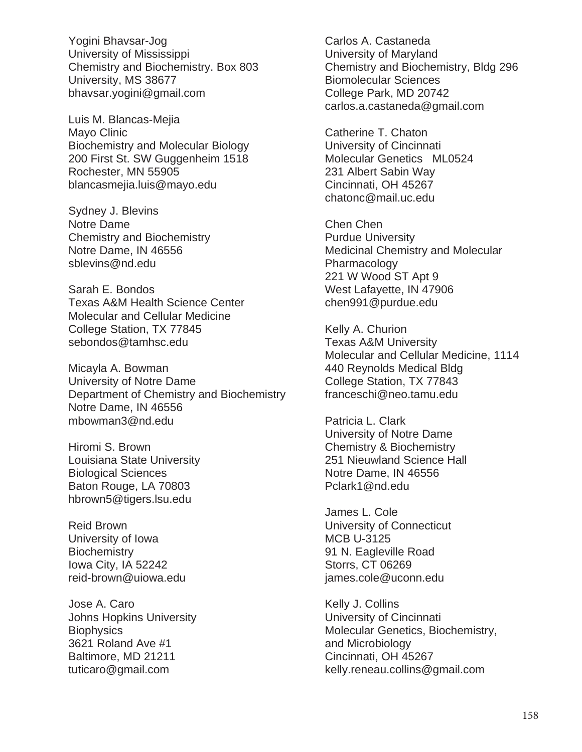Yogini Bhavsar-Jog University of Mississippi Chemistry and Biochemistry. Box 803 University, MS 38677 bhavsar.yogini@gmail.com

Luis M. Blancas-Mejia Mayo Clinic Biochemistry and Molecular Biology 200 First St. SW Guggenheim 1518 Rochester, MN 55905 blancasmejia.luis@mayo.edu

Sydney J. Blevins Notre Dame Chemistry and Biochemistry Notre Dame, IN 46556 sblevins@nd.edu

Sarah E. Bondos Texas A&M Health Science Center Molecular and Cellular Medicine College Station, TX 77845 sebondos@tamhsc.edu

Micayla A. Bowman University of Notre Dame Department of Chemistry and Biochemistry Notre Dame, IN 46556 mbowman3@nd.edu

Hiromi S. Brown Louisiana State University Biological Sciences Baton Rouge, LA 70803 hbrown5@tigers.lsu.edu

Reid Brown University of Iowa **Biochemistry** Iowa City, IA 52242 reid-brown@uiowa.edu

Jose A. Caro Johns Hopkins University **Biophysics** 3621 Roland Ave #1 Baltimore, MD 21211 tuticaro@gmail.com

Carlos A. Castaneda University of Maryland Chemistry and Biochemistry, Bldg 296 Biomolecular Sciences College Park, MD 20742 carlos.a.castaneda@gmail.com

Catherine T. Chaton University of Cincinnati Molecular Genetics ML0524 231 Albert Sabin Way Cincinnati, OH 45267 chatonc@mail.uc.edu

Chen Chen Purdue University Medicinal Chemistry and Molecular Pharmacology 221 W Wood ST Apt 9 West Lafayette, IN 47906 chen991@purdue.edu

Kelly A. Churion Texas A&M University Molecular and Cellular Medicine, 1114 440 Reynolds Medical Bldg College Station, TX 77843 franceschi@neo.tamu.edu

Patricia L. Clark University of Notre Dame Chemistry & Biochemistry 251 Nieuwland Science Hall Notre Dame, IN 46556 Pclark1@nd.edu

James L. Cole University of Connecticut MCB U-3125 91 N. Eagleville Road Storrs, CT 06269 james.cole@uconn.edu

Kelly J. Collins University of Cincinnati Molecular Genetics, Biochemistry, and Microbiology Cincinnati, OH 45267 kelly.reneau.collins@gmail.com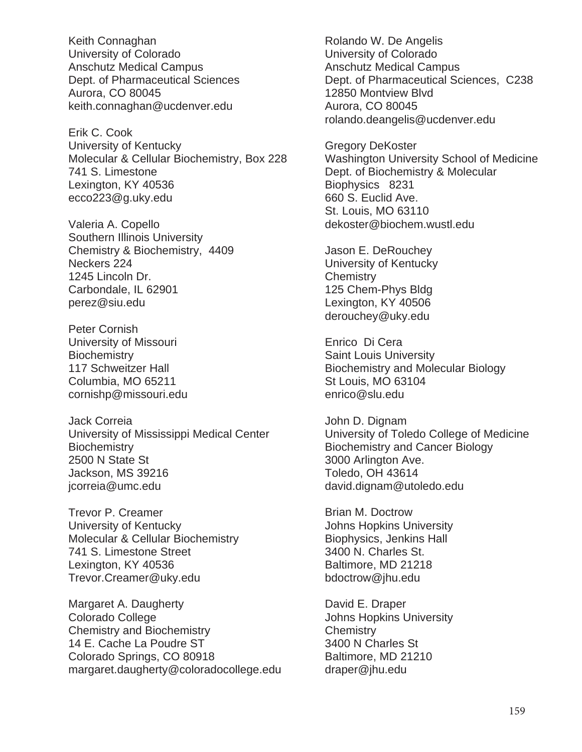Keith Connaghan University of Colorado Anschutz Medical Campus Dept. of Pharmaceutical Sciences Aurora, CO 80045 keith.connaghan@ucdenver.edu

Erik C. Cook University of Kentucky Molecular & Cellular Biochemistry, Box 228 741 S. Limestone Lexington, KY 40536 ecco223@g.uky.edu

Valeria A. Copello Southern Illinois University Chemistry & Biochemistry, 4409 Neckers 224 1245 Lincoln Dr. Carbondale, IL 62901 perez@siu.edu

Peter Cornish University of Missouri **Biochemistry** 117 Schweitzer Hall Columbia, MO 65211 cornishp@missouri.edu

Jack Correia University of Mississippi Medical Center **Biochemistry** 2500 N State St Jackson, MS 39216 jcorreia@umc.edu

Trevor P. Creamer University of Kentucky Molecular & Cellular Biochemistry 741 S. Limestone Street Lexington, KY 40536 Trevor.Creamer@uky.edu

Margaret A. Daugherty Colorado College Chemistry and Biochemistry 14 E. Cache La Poudre ST Colorado Springs, CO 80918 margaret.daugherty@coloradocollege.edu

Rolando W. De Angelis University of Colorado Anschutz Medical Campus Dept. of Pharmaceutical Sciences, C238 12850 Montview Blvd Aurora, CO 80045 rolando.deangelis@ucdenver.edu

Gregory DeKoster Washington University School of Medicine Dept. of Biochemistry & Molecular Biophysics 8231 660 S. Euclid Ave. St. Louis, MO 63110 dekoster@biochem.wustl.edu

Jason E. DeRouchey University of Kentucky **Chemistry** 125 Chem-Phys Bldg Lexington, KY 40506 derouchey@uky.edu

Enrico Di Cera Saint Louis University Biochemistry and Molecular Biology St Louis, MO 63104 enrico@slu.edu

John D. Dignam University of Toledo College of Medicine Biochemistry and Cancer Biology 3000 Arlington Ave. Toledo, OH 43614 david.dignam@utoledo.edu

Brian M. Doctrow Johns Hopkins University Biophysics, Jenkins Hall 3400 N. Charles St. Baltimore, MD 21218 bdoctrow@jhu.edu

David E. Draper Johns Hopkins University **Chemistry** 3400 N Charles St Baltimore, MD 21210 draper@jhu.edu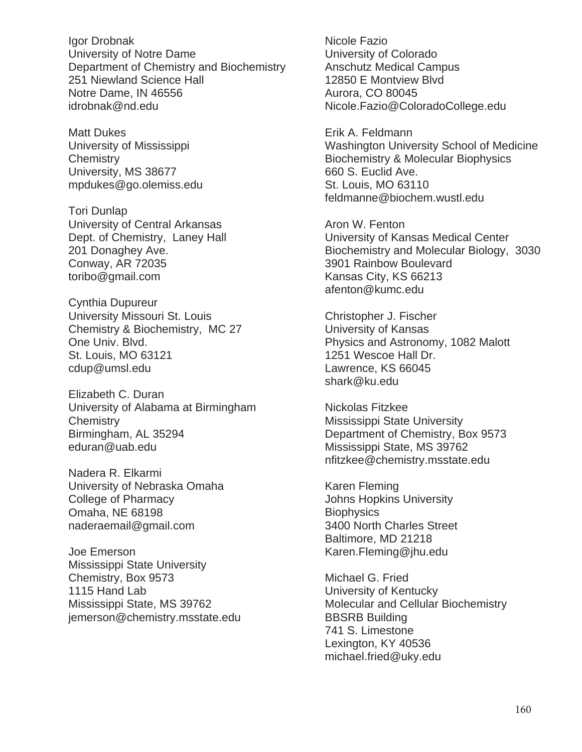Igor Drobnak University of Notre Dame Department of Chemistry and Biochemistry 251 Niewland Science Hall Notre Dame, IN 46556 idrobnak@nd.edu

Matt Dukes University of Mississippi **Chemistry** University, MS 38677 mpdukes@go.olemiss.edu

Tori Dunlap University of Central Arkansas Dept. of Chemistry, Laney Hall 201 Donaghey Ave. Conway, AR 72035 toribo@gmail.com

Cynthia Dupureur University Missouri St. Louis Chemistry & Biochemistry, MC 27 One Univ. Blvd. St. Louis, MO 63121 cdup@umsl.edu

Elizabeth C. Duran University of Alabama at Birmingham **Chemistry** Birmingham, AL 35294 eduran@uab.edu

Nadera R. Elkarmi University of Nebraska Omaha College of Pharmacy Omaha, NE 68198 naderaemail@gmail.com

Joe Emerson Mississippi State University Chemistry, Box 9573 1115 Hand Lab Mississippi State, MS 39762 jemerson@chemistry.msstate.edu

Nicole Fazio University of Colorado Anschutz Medical Campus 12850 E Montview Blvd Aurora, CO 80045 Nicole.Fazio@ColoradoCollege.edu

Erik A. Feldmann Washington University School of Medicine Biochemistry & Molecular Biophysics 660 S. Euclid Ave. St. Louis, MO 63110 feldmanne@biochem.wustl.edu

Aron W. Fenton University of Kansas Medical Center Biochemistry and Molecular Biology, 3030 3901 Rainbow Boulevard Kansas City, KS 66213 afenton@kumc.edu

Christopher J. Fischer University of Kansas Physics and Astronomy, 1082 Malott 1251 Wescoe Hall Dr. Lawrence, KS 66045 shark@ku.edu

Nickolas Fitzkee Mississippi State University Department of Chemistry, Box 9573 Mississippi State, MS 39762 nfitzkee@chemistry.msstate.edu

Karen Fleming Johns Hopkins University **Biophysics** 3400 North Charles Street Baltimore, MD 21218 Karen.Fleming@jhu.edu

Michael G. Fried University of Kentucky Molecular and Cellular Biochemistry BBSRB Building 741 S. Limestone Lexington, KY 40536 michael.fried@uky.edu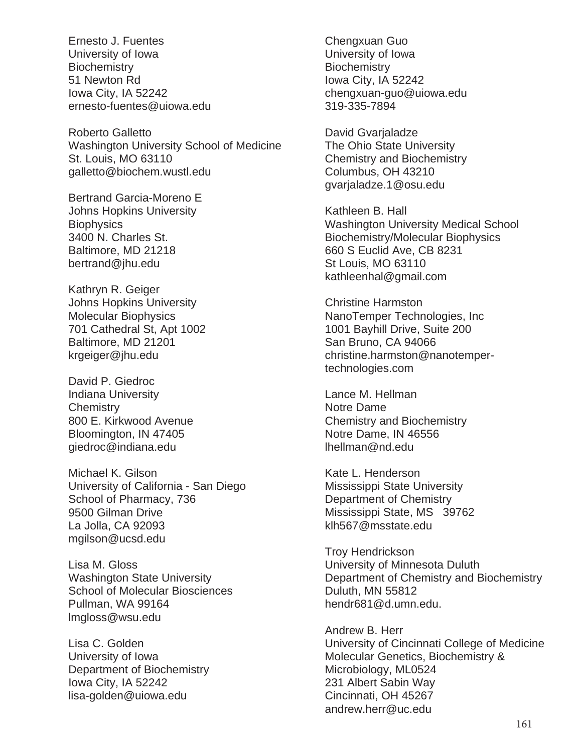Ernesto J. Fuentes University of Iowa **Biochemistry** 51 Newton Rd Iowa City, IA 52242 ernesto-fuentes@uiowa.edu

Roberto Galletto Washington University School of Medicine St. Louis, MO 63110 galletto@biochem.wustl.edu

Bertrand Garcia-Moreno E Johns Hopkins University **Biophysics** 3400 N. Charles St. Baltimore, MD 21218 bertrand@jhu.edu

Kathryn R. Geiger Johns Hopkins University Molecular Biophysics 701 Cathedral St, Apt 1002 Baltimore, MD 21201 krgeiger@jhu.edu

David P. Giedroc Indiana University **Chemistry** 800 E. Kirkwood Avenue Bloomington, IN 47405 giedroc@indiana.edu

Michael K. Gilson University of California - San Diego School of Pharmacy, 736 9500 Gilman Drive La Jolla, CA 92093 mgilson@ucsd.edu

Lisa M. Gloss Washington State University School of Molecular Biosciences Pullman, WA 99164 lmgloss@wsu.edu

Lisa C. Golden University of Iowa Department of Biochemistry Iowa City, IA 52242 lisa-golden@uiowa.edu

Chengxuan Guo University of Iowa **Biochemistry** Iowa City, IA 52242 chengxuan-guo@uiowa.edu 319-335-7894

David Gvarjaladze The Ohio State University Chemistry and Biochemistry Columbus, OH 43210 gvarjaladze.1@osu.edu

Kathleen B. Hall Washington University Medical School Biochemistry/Molecular Biophysics 660 S Euclid Ave, CB 8231 St Louis, MO 63110 kathleenhal@gmail.com

Christine Harmston NanoTemper Technologies, Inc 1001 Bayhill Drive, Suite 200 San Bruno, CA 94066 christine.harmston@nanotempertechnologies.com

Lance M. Hellman Notre Dame Chemistry and Biochemistry Notre Dame, IN 46556 lhellman@nd.edu

Kate L. Henderson Mississippi State University Department of Chemistry Mississippi State, MS 39762 klh567@msstate.edu

Troy Hendrickson University of Minnesota Duluth Department of Chemistry and Biochemistry Duluth, MN 55812 hendr681@d.umn.edu.

Andrew B. Herr University of Cincinnati College of Medicine Molecular Genetics, Biochemistry & Microbiology, ML0524 231 Albert Sabin Way Cincinnati, OH 45267 andrew.herr@uc.edu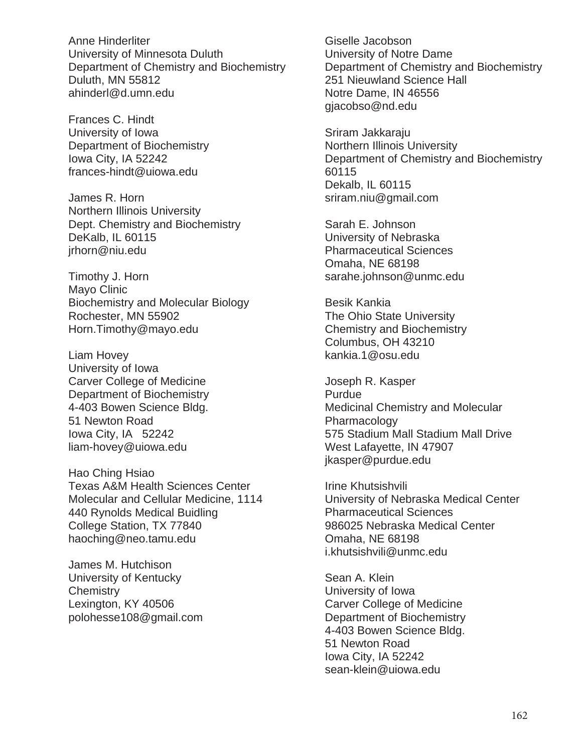Anne Hinderliter University of Minnesota Duluth Department of Chemistry and Biochemistry Duluth, MN 55812 ahinderl@d.umn.edu

Frances C. Hindt University of Iowa Department of Biochemistry Iowa City, IA 52242 frances-hindt@uiowa.edu

James R. Horn Northern Illinois University Dept. Chemistry and Biochemistry DeKalb, IL 60115 jrhorn@niu.edu

Timothy J. Horn Mayo Clinic Biochemistry and Molecular Biology Rochester, MN 55902 Horn.Timothy@mayo.edu

Liam Hovey University of Iowa Carver College of Medicine Department of Biochemistry 4-403 Bowen Science Bldg. 51 Newton Road Iowa City, IA 52242 liam-hovey@uiowa.edu

Hao Ching Hsiao Texas A&M Health Sciences Center Molecular and Cellular Medicine, 1114 440 Rynolds Medical Buidling College Station, TX 77840 haoching@neo.tamu.edu

James M. Hutchison University of Kentucky **Chemistry** Lexington, KY 40506 polohesse108@gmail.com

Giselle Jacobson University of Notre Dame Department of Chemistry and Biochemistry 251 Nieuwland Science Hall Notre Dame, IN 46556 gjacobso@nd.edu

Sriram Jakkaraju Northern Illinois University Department of Chemistry and Biochemistry 60115 Dekalb, IL 60115 sriram.niu@gmail.com

Sarah E. Johnson University of Nebraska Pharmaceutical Sciences Omaha, NE 68198 sarahe.johnson@unmc.edu

Besik Kankia The Ohio State University Chemistry and Biochemistry Columbus, OH 43210 kankia.1@osu.edu

Joseph R. Kasper **Purdue** Medicinal Chemistry and Molecular Pharmacology 575 Stadium Mall Stadium Mall Drive West Lafayette, IN 47907 jkasper@purdue.edu

Irine Khutsishvili University of Nebraska Medical Center Pharmaceutical Sciences 986025 Nebraska Medical Center Omaha, NE 68198 i.khutsishvili@unmc.edu

Sean A. Klein University of Iowa Carver College of Medicine Department of Biochemistry 4-403 Bowen Science Bldg. 51 Newton Road Iowa City, IA 52242 sean-klein@uiowa.edu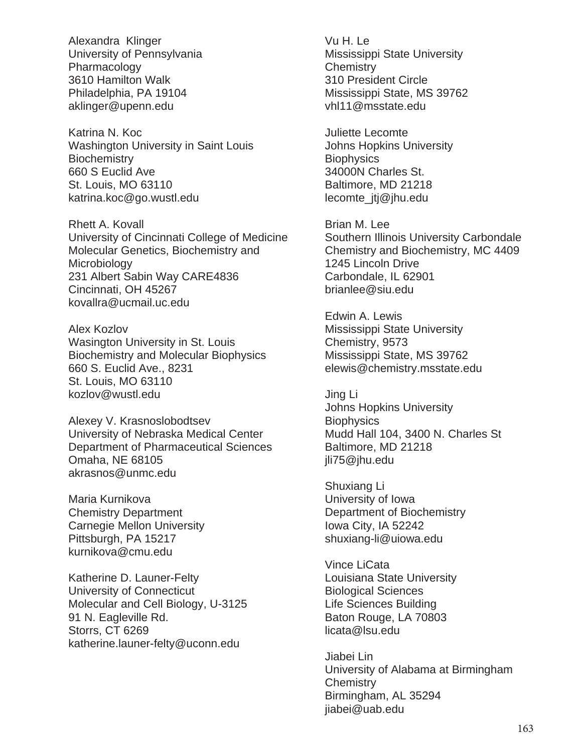Alexandra Klinger University of Pennsylvania Pharmacology 3610 Hamilton Walk Philadelphia, PA 19104 aklinger@upenn.edu

Katrina N. Koc Washington University in Saint Louis **Biochemistry** 660 S Euclid Ave St. Louis, MO 63110 katrina.koc@go.wustl.edu

Rhett A. Kovall University of Cincinnati College of Medicine Molecular Genetics, Biochemistry and **Microbiology** 231 Albert Sabin Way CARE4836 Cincinnati, OH 45267 kovallra@ucmail.uc.edu

Alex Kozlov Wasington University in St. Louis Biochemistry and Molecular Biophysics 660 S. Euclid Ave., 8231 St. Louis, MO 63110 kozlov@wustl.edu

Alexey V. Krasnoslobodtsev University of Nebraska Medical Center Department of Pharmaceutical Sciences Omaha, NE 68105 akrasnos@unmc.edu

Maria Kurnikova Chemistry Department Carnegie Mellon University Pittsburgh, PA 15217 kurnikova@cmu.edu

Katherine D. Launer-Felty University of Connecticut Molecular and Cell Biology, U-3125 91 N. Eagleville Rd. Storrs, CT 6269 katherine.launer-felty@uconn.edu

Vu H. Le Mississippi State University **Chemistry** 310 President Circle Mississippi State, MS 39762 vhl11@msstate.edu

Juliette Lecomte Johns Hopkins University **Biophysics** 34000N Charles St. Baltimore, MD 21218 lecomte\_jtj@jhu.edu

Brian M. Lee Southern Illinois University Carbondale Chemistry and Biochemistry, MC 4409 1245 Lincoln Drive Carbondale, IL 62901 brianlee@siu.edu

Edwin A. Lewis Mississippi State University Chemistry, 9573 Mississippi State, MS 39762 elewis@chemistry.msstate.edu

Jing Li Johns Hopkins University **Biophysics** Mudd Hall 104, 3400 N. Charles St Baltimore, MD 21218 jli75@jhu.edu

Shuxiang Li University of Iowa Department of Biochemistry Iowa City, IA 52242 shuxiang-li@uiowa.edu

Vince LiCata Louisiana State University Biological Sciences Life Sciences Building Baton Rouge, LA 70803 licata@lsu.edu

Jiabei Lin University of Alabama at Birmingham **Chemistry** Birmingham, AL 35294 jiabei@uab.edu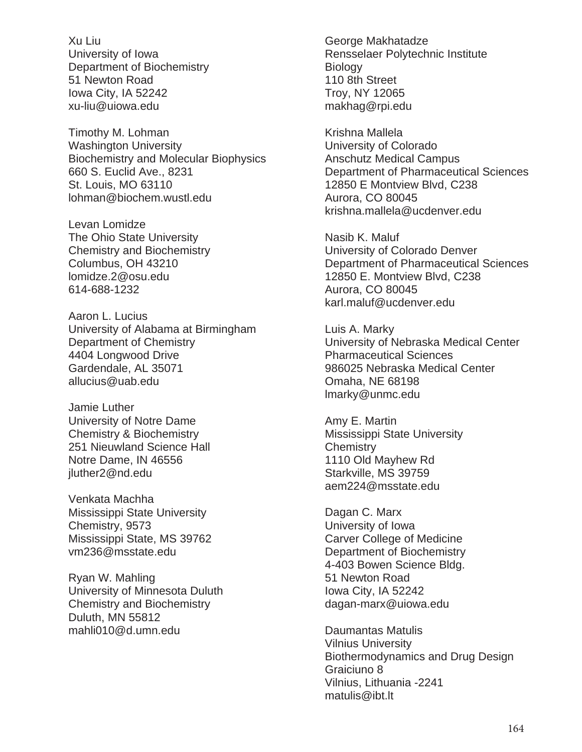Xu Liu University of Iowa Department of Biochemistry 51 Newton Road Iowa City, IA 52242 xu-liu@uiowa.edu

Timothy M. Lohman Washington University Biochemistry and Molecular Biophysics 660 S. Euclid Ave., 8231 St. Louis, MO 63110 lohman@biochem.wustl.edu

Levan Lomidze The Ohio State University Chemistry and Biochemistry Columbus, OH 43210 lomidze.2@osu.edu 614-688-1232

Aaron L. Lucius University of Alabama at Birmingham Department of Chemistry 4404 Longwood Drive Gardendale, AL 35071 allucius@uab.edu

Jamie Luther University of Notre Dame Chemistry & Biochemistry 251 Nieuwland Science Hall Notre Dame, IN 46556 jluther2@nd.edu

Venkata Machha Mississippi State University Chemistry, 9573 Mississippi State, MS 39762 vm236@msstate.edu

Ryan W. Mahling University of Minnesota Duluth Chemistry and Biochemistry Duluth, MN 55812 mahli010@d.umn.edu

George Makhatadze Rensselaer Polytechnic Institute **Biology** 110 8th Street Troy, NY 12065 makhag@rpi.edu

Krishna Mallela University of Colorado Anschutz Medical Campus Department of Pharmaceutical Sciences 12850 E Montview Blvd, C238 Aurora, CO 80045 krishna.mallela@ucdenver.edu

Nasib K. Maluf University of Colorado Denver Department of Pharmaceutical Sciences 12850 E. Montview Blvd, C238 Aurora, CO 80045 karl.maluf@ucdenver.edu

Luis A. Marky University of Nebraska Medical Center Pharmaceutical Sciences 986025 Nebraska Medical Center Omaha, NE 68198 lmarky@unmc.edu

Amy E. Martin Mississippi State University **Chemistry** 1110 Old Mayhew Rd Starkville, MS 39759 aem224@msstate.edu

Dagan C. Marx University of Iowa Carver College of Medicine Department of Biochemistry 4-403 Bowen Science Bldg. 51 Newton Road Iowa City, IA 52242 dagan-marx@uiowa.edu

Daumantas Matulis Vilnius University Biothermodynamics and Drug Design Graiciuno 8 Vilnius, Lithuania -2241 matulis@ibt.lt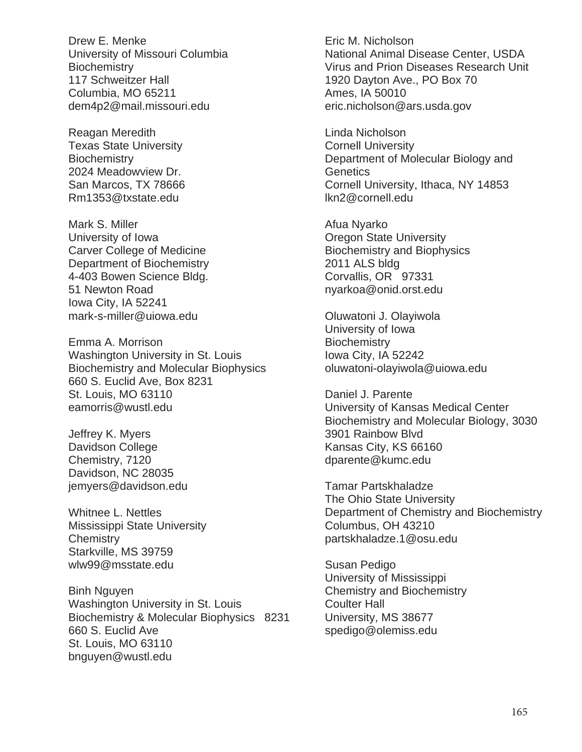Drew E. Menke University of Missouri Columbia **Biochemistry** 117 Schweitzer Hall Columbia, MO 65211 dem4p2@mail.missouri.edu

Reagan Meredith Texas State University **Biochemistry** 2024 Meadowview Dr. San Marcos, TX 78666 Rm1353@txstate.edu

Mark S. Miller University of Iowa Carver College of Medicine Department of Biochemistry 4-403 Bowen Science Bldg. 51 Newton Road Iowa City, IA 52241 mark-s-miller@uiowa.edu

Emma A. Morrison Washington University in St. Louis Biochemistry and Molecular Biophysics 660 S. Euclid Ave, Box 8231 St. Louis, MO 63110 eamorris@wustl.edu

Jeffrey K. Myers Davidson College Chemistry, 7120 Davidson, NC 28035 jemyers@davidson.edu

Whitnee L. Nettles Mississippi State University **Chemistry** Starkville, MS 39759 wlw99@msstate.edu

Binh Nguyen Washington University in St. Louis Biochemistry & Molecular Biophysics 8231 660 S. Euclid Ave St. Louis, MO 63110 bnguyen@wustl.edu

Eric M. Nicholson National Animal Disease Center, USDA Virus and Prion Diseases Research Unit 1920 Dayton Ave., PO Box 70 Ames, IA 50010 eric.nicholson@ars.usda.gov

Linda Nicholson Cornell University Department of Molecular Biology and **Genetics** Cornell University, Ithaca, NY 14853 lkn2@cornell.edu

Afua Nyarko Oregon State University Biochemistry and Biophysics 2011 ALS bldg Corvallis, OR 97331 nyarkoa@onid.orst.edu

Oluwatoni J. Olayiwola University of Iowa **Biochemistry** Iowa City, IA 52242 oluwatoni-olayiwola@uiowa.edu

Daniel J. Parente University of Kansas Medical Center Biochemistry and Molecular Biology, 3030 3901 Rainbow Blvd Kansas City, KS 66160 dparente@kumc.edu

Tamar Partskhaladze The Ohio State University Department of Chemistry and Biochemistry Columbus, OH 43210 partskhaladze.1@osu.edu

Susan Pedigo University of Mississippi Chemistry and Biochemistry Coulter Hall University, MS 38677 spedigo@olemiss.edu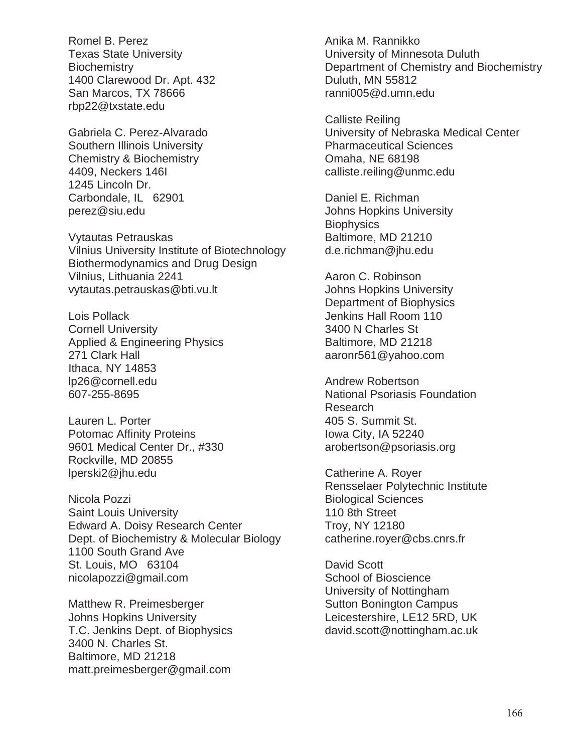Romel B. Perez Texas State University **Biochemistry** 1400 Clarewood Dr. Apt. 432 San Marcos, TX 78666 rbp22@txstate.edu

Gabriela C. Perez-Alvarado Southern Illinois University Chemistry & Biochemistry 4409, Neckers 146I 1245 Lincoln Dr. Carbondale, IL 62901 perez@siu.edu

Vytautas Petrauskas Vilnius University Institute of Biotechnology Biothermodynamics and Drug Design Vilnius, Lithuania 2241 vytautas.petrauskas@bti.vu.lt

Lois Pollack Cornell University Applied & Engineering Physics 271 Clark Hall Ithaca, NY 14853 lp26@cornell.edu 607-255-8695

Lauren L. Porter Potomac Affinity Proteins 9601 Medical Center Dr., #330 Rockville, MD 20855 lperski2@jhu.edu

Nicola Pozzi Saint Louis University Edward A. Doisy Research Center Dept. of Biochemistry & Molecular Biology 1100 South Grand Ave St. Louis, MO 63104 nicolapozzi@gmail.com

Matthew R. Preimesberger Johns Hopkins University T.C. Jenkins Dept. of Biophysics 3400 N. Charles St. Baltimore, MD 21218 matt.preimesberger@gmail.com

Anika M. Rannikko University of Minnesota Duluth Department of Chemistry and Biochemistry Duluth, MN 55812 ranni005@d.umn.edu

Calliste Reiling University of Nebraska Medical Center Pharmaceutical Sciences Omaha, NE 68198 calliste.reiling@unmc.edu

Daniel E. Richman Johns Hopkins University **Biophysics** Baltimore, MD 21210 d.e.richman@jhu.edu

Aaron C. Robinson Johns Hopkins University Department of Biophysics Jenkins Hall Room 110 3400 N Charles St Baltimore, MD 21218 aaronr561@yahoo.com

Andrew Robertson National Psoriasis Foundation Research 405 S. Summit St. Iowa City, IA 52240 arobertson@psoriasis.org

Catherine A. Royer Rensselaer Polytechnic Institute Biological Sciences 110 8th Street Troy, NY 12180 catherine.royer@cbs.cnrs.fr

David Scott School of Bioscience University of Nottingham Sutton Bonington Campus Leicestershire, LE12 5RD, UK david.scott@nottingham.ac.uk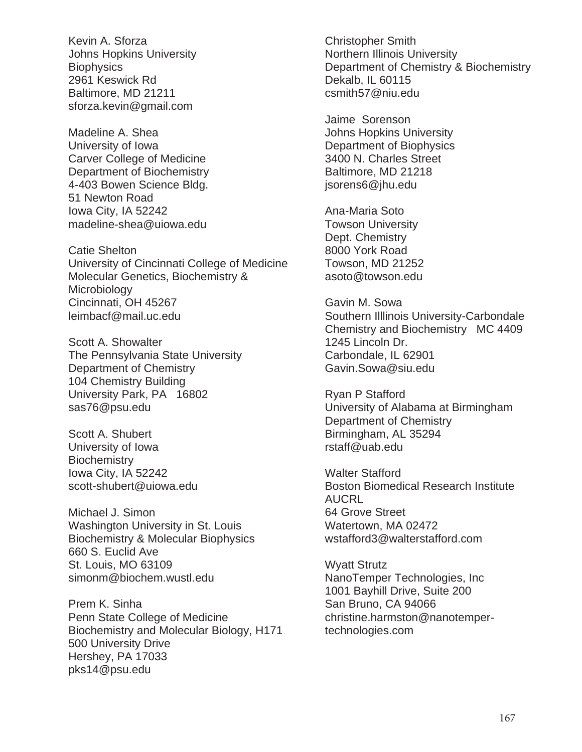Kevin A. Sforza Johns Hopkins University **Biophysics** 2961 Keswick Rd Baltimore, MD 21211 sforza.kevin@gmail.com

Madeline A. Shea University of Iowa Carver College of Medicine Department of Biochemistry 4-403 Bowen Science Bldg. 51 Newton Road Iowa City, IA 52242 madeline-shea@uiowa.edu

Catie Shelton University of Cincinnati College of Medicine Molecular Genetics, Biochemistry & **Microbiology** Cincinnati, OH 45267 leimbacf@mail.uc.edu

Scott A. Showalter The Pennsylvania State University Department of Chemistry 104 Chemistry Building University Park, PA 16802 sas76@psu.edu

Scott A. Shubert University of Iowa **Biochemistry** Iowa City, IA 52242 scott-shubert@uiowa.edu

Michael J. Simon Washington University in St. Louis Biochemistry & Molecular Biophysics 660 S. Euclid Ave St. Louis, MO 63109 simonm@biochem.wustl.edu

Prem K. Sinha Penn State College of Medicine Biochemistry and Molecular Biology, H171 500 University Drive Hershey, PA 17033 pks14@psu.edu

Christopher Smith Northern Illinois University Department of Chemistry & Biochemistry Dekalb, IL 60115 csmith57@niu.edu

Jaime Sorenson Johns Hopkins University Department of Biophysics 3400 N. Charles Street Baltimore, MD 21218 jsorens6@jhu.edu

Ana-Maria Soto Towson University Dept. Chemistry 8000 York Road Towson, MD 21252 asoto@towson.edu

Gavin M. Sowa Southern Illlinois University-Carbondale Chemistry and Biochemistry MC 4409 1245 Lincoln Dr. Carbondale, IL 62901 Gavin.Sowa@siu.edu

Ryan P Stafford University of Alabama at Birmingham Department of Chemistry Birmingham, AL 35294 rstaff@uab.edu

Walter Stafford Boston Biomedical Research Institute AUCRL 64 Grove Street Watertown, MA 02472 wstafford3@walterstafford.com

Wyatt Strutz NanoTemper Technologies, Inc 1001 Bayhill Drive, Suite 200 San Bruno, CA 94066 christine.harmston@nanotempertechnologies.com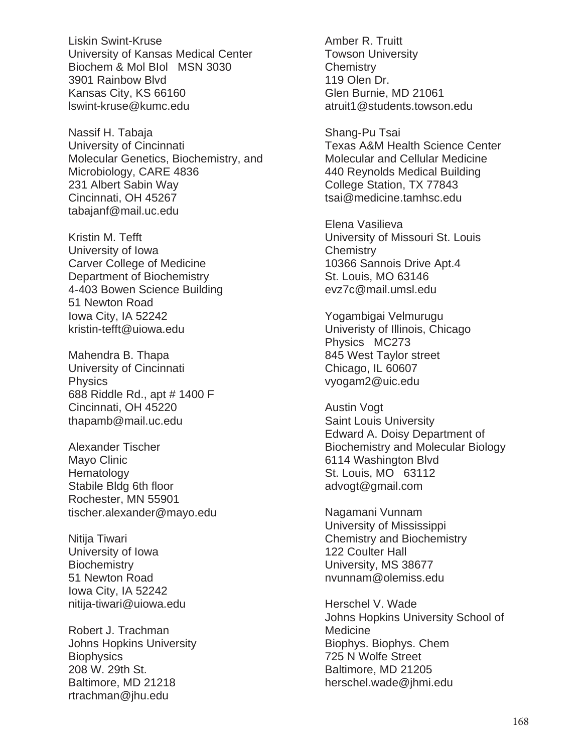Liskin Swint-Kruse University of Kansas Medical Center Biochem & Mol BIol MSN 3030 3901 Rainbow Blvd Kansas City, KS 66160 lswint-kruse@kumc.edu

Nassif H. Tabaja University of Cincinnati Molecular Genetics, Biochemistry, and Microbiology, CARE 4836 231 Albert Sabin Way Cincinnati, OH 45267 tabajanf@mail.uc.edu

Kristin M. Tefft University of Iowa Carver College of Medicine Department of Biochemistry 4-403 Bowen Science Building 51 Newton Road Iowa City, IA 52242 kristin-tefft@uiowa.edu

Mahendra B. Thapa University of Cincinnati **Physics** 688 Riddle Rd., apt # 1400 F Cincinnati, OH 45220 thapamb@mail.uc.edu

Alexander Tischer Mayo Clinic **Hematology** Stabile Bldg 6th floor Rochester, MN 55901 tischer.alexander@mayo.edu

Nitija Tiwari University of Iowa **Biochemistry** 51 Newton Road Iowa City, IA 52242 nitija-tiwari@uiowa.edu

Robert J. Trachman Johns Hopkins University **Biophysics** 208 W. 29th St. Baltimore, MD 21218 rtrachman@jhu.edu

Amber R. Truitt Towson University **Chemistry** 119 Olen Dr. Glen Burnie, MD 21061 atruit1@students.towson.edu

Shang-Pu Tsai Texas A&M Health Science Center Molecular and Cellular Medicine 440 Reynolds Medical Building College Station, TX 77843 tsai@medicine.tamhsc.edu

Elena Vasilieva University of Missouri St. Louis **Chemistry** 10366 Sannois Drive Apt.4 St. Louis, MO 63146 evz7c@mail.umsl.edu

Yogambigai Velmurugu Univeristy of Illinois, Chicago Physics MC273 845 West Taylor street Chicago, IL 60607 vyogam2@uic.edu

Austin Vogt Saint Louis University Edward A. Doisy Department of Biochemistry and Molecular Biology 6114 Washington Blvd St. Louis, MO 63112 advogt@gmail.com

Nagamani Vunnam University of Mississippi Chemistry and Biochemistry 122 Coulter Hall University, MS 38677 nvunnam@olemiss.edu

Herschel V. Wade Johns Hopkins University School of Medicine Biophys. Biophys. Chem 725 N Wolfe Street Baltimore, MD 21205 herschel.wade@jhmi.edu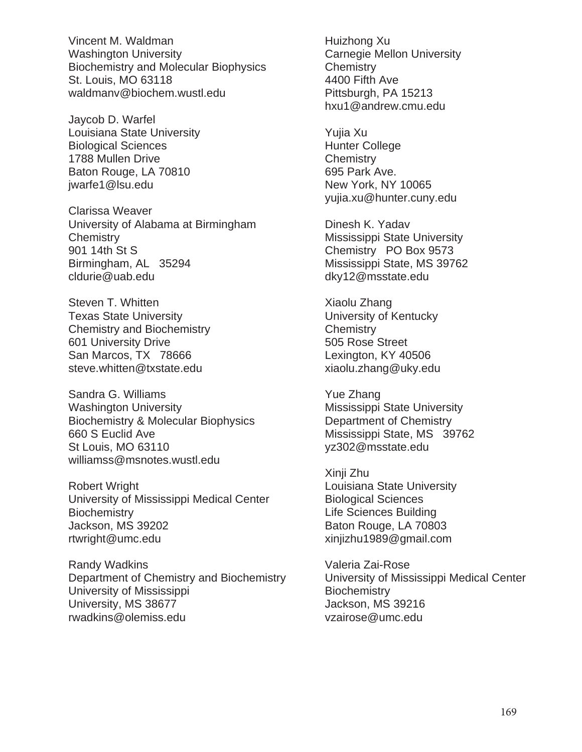Vincent M. Waldman Washington University Biochemistry and Molecular Biophysics St. Louis, MO 63118 waldmanv@biochem.wustl.edu

Jaycob D. Warfel Louisiana State University Biological Sciences 1788 Mullen Drive Baton Rouge, LA 70810 jwarfe1@lsu.edu

Clarissa Weaver University of Alabama at Birmingham **Chemistry** 901 14th St S Birmingham, AL 35294 cldurie@uab.edu

Steven T. Whitten Texas State University Chemistry and Biochemistry 601 University Drive San Marcos, TX 78666 steve.whitten@txstate.edu

Sandra G. Williams Washington University Biochemistry & Molecular Biophysics 660 S Euclid Ave St Louis, MO 63110 williamss@msnotes.wustl.edu

Robert Wright University of Mississippi Medical Center **Biochemistry** Jackson, MS 39202 rtwright@umc.edu

Randy Wadkins Department of Chemistry and Biochemistry University of Mississippi University, MS 38677 rwadkins@olemiss.edu

Huizhong Xu Carnegie Mellon University **Chemistry** 4400 Fifth Ave Pittsburgh, PA 15213 hxu1@andrew.cmu.edu

Yujia Xu Hunter College **Chemistry** 695 Park Ave. New York, NY 10065 yujia.xu@hunter.cuny.edu

Dinesh K. Yadav Mississippi State University Chemistry PO Box 9573 Mississippi State, MS 39762 dky12@msstate.edu

Xiaolu Zhang University of Kentucky **Chemistry** 505 Rose Street Lexington, KY 40506 xiaolu.zhang@uky.edu

Yue Zhang Mississippi State University Department of Chemistry Mississippi State, MS 39762 yz302@msstate.edu

Xinji Zhu Louisiana State University Biological Sciences Life Sciences Building Baton Rouge, LA 70803 xinjizhu1989@gmail.com

Valeria Zai-Rose University of Mississippi Medical Center **Biochemistry** Jackson, MS 39216 vzairose@umc.edu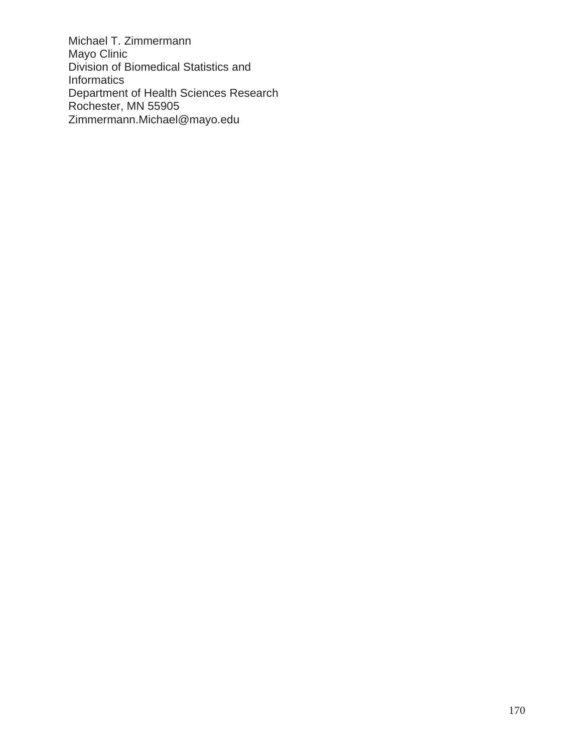Michael T. Zimmermann Mayo Clinic Division of Biomedical Statistics and Informatics Department of Health Sciences Research Rochester, MN 55905 Zimmermann.Michael@mayo.edu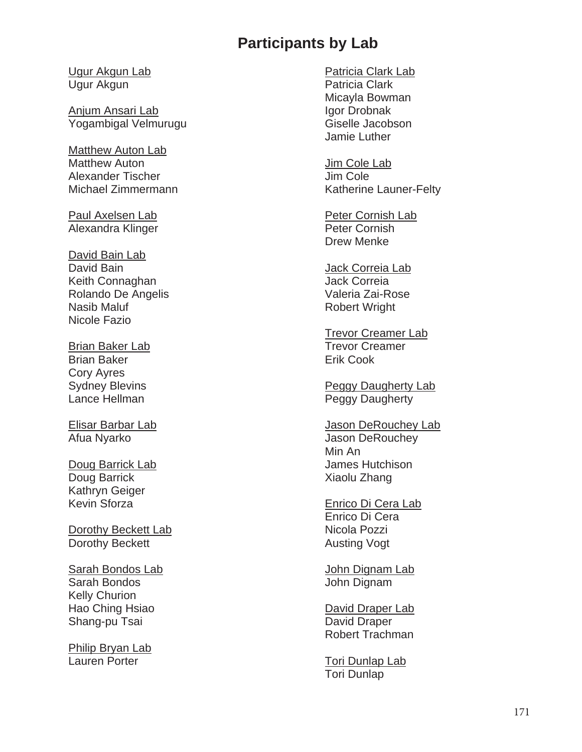## **Participants by Lab**

Ugur Akgun Lab Ugur Akgun

Anjum Ansari Lab Yogambigal Velmurugu

Matthew Auton Lab Matthew Auton Alexander Tischer Michael Zimmermann

Paul Axelsen Lab Alexandra Klinger

David Bain Lab David Bain Keith Connaghan Rolando De Angelis Nasib Maluf Nicole Fazio

Brian Baker Lab Brian Baker Cory Ayres Sydney Blevins Lance Hellman

Elisar Barbar Lab Afua Nyarko

Doug Barrick Lab Doug Barrick Kathryn Geiger Kevin Sforza

Dorothy Beckett Lab Dorothy Beckett

Sarah Bondos Lab Sarah Bondos Kelly Churion Hao Ching Hsiao Shang-pu Tsai

Philip Bryan Lab Lauren Porter

Patricia Clark Lab Patricia Clark Micayla Bowman Igor Drobnak Giselle Jacobson Jamie Luther

Jim Cole Lab Jim Cole Katherine Launer-Felty

Peter Cornish Lab Peter Cornish Drew Menke

Jack Correia Lab Jack Correia Valeria Zai-Rose Robert Wright

Trevor Creamer Lab Trevor Creamer Erik Cook

Peggy Daugherty Lab Peggy Daugherty

Jason DeRouchey Lab Jason DeRouchey Min An James Hutchison Xiaolu Zhang

Enrico Di Cera Lab Enrico Di Cera Nicola Pozzi Austing Vogt

John Dignam Lab John Dignam

David Draper Lab David Draper Robert Trachman

Tori Dunlap Lab Tori Dunlap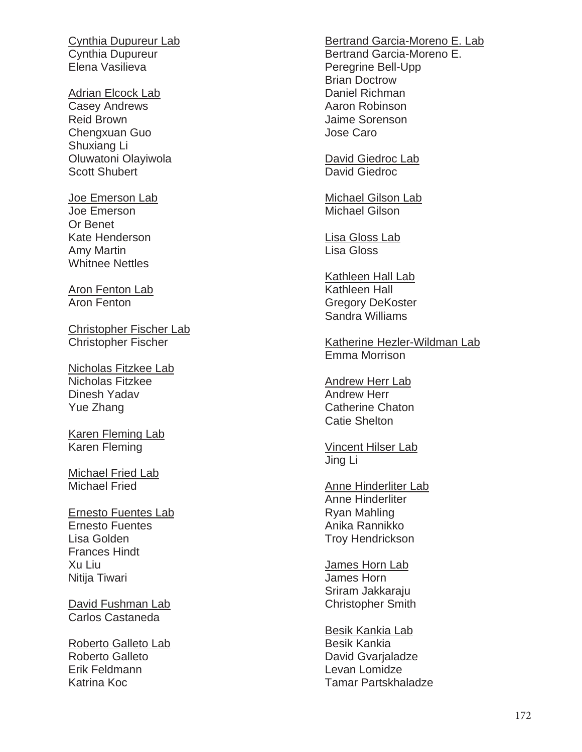Cynthia Dupureur Lab Cynthia Dupureur Elena Vasilieva

Adrian Elcock Lab Casey Andrews Reid Brown Chengxuan Guo Shuxiang Li Oluwatoni Olayiwola Scott Shubert

Joe Emerson Lab Joe Emerson Or Benet Kate Henderson Amy Martin Whitnee Nettles

Aron Fenton Lab Aron Fenton

Christopher Fischer Lab Christopher Fischer

Nicholas Fitzkee Lab Nicholas Fitzkee Dinesh Yadav Yue Zhang

Karen Fleming Lab Karen Fleming

Michael Fried Lab Michael Fried

Ernesto Fuentes Lab Ernesto Fuentes Lisa Golden Frances Hindt Xu Liu Nitija Tiwari

David Fushman Lab Carlos Castaneda

Roberto Galleto Lab Roberto Galleto Erik Feldmann Katrina Koc

Bertrand Garcia-Moreno E. Lab Bertrand Garcia-Moreno E. Peregrine Bell-Upp Brian Doctrow Daniel Richman Aaron Robinson Jaime Sorenson Jose Caro

David Giedroc Lab David Giedroc

Michael Gilson Lab Michael Gilson

Lisa Gloss Lab Lisa Gloss

Kathleen Hall Lab Kathleen Hall Gregory DeKoster Sandra Williams

Katherine Hezler-Wildman Lab Emma Morrison

Andrew Herr Lab Andrew Herr Catherine Chaton Catie Shelton

Vincent Hilser Lab Jing Li

Anne Hinderliter Lab Anne Hinderliter Ryan Mahling Anika Rannikko Troy Hendrickson

James Horn Lab James Horn Sriram Jakkaraju Christopher Smith

Besik Kankia Lab Besik Kankia David Gvarjaladze Levan Lomidze Tamar Partskhaladze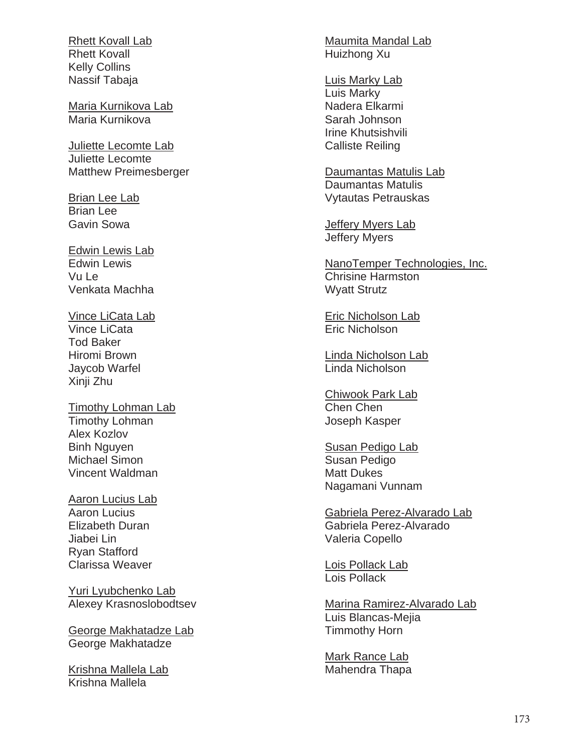Rhett Kovall Lab Rhett Kovall Kelly Collins Nassif Tabaja

Maria Kurnikova Lab Maria Kurnikova

Juliette Lecomte Lab Juliette Lecomte Matthew Preimesberger

**Brian Lee Lab** Brian Lee Gavin Sowa

Edwin Lewis Lab Edwin Lewis Vu Le Venkata Machha

Vince LiCata Lab Vince LiCata Tod Baker Hiromi Brown Jaycob Warfel Xinji Zhu

Timothy Lohman Lab Timothy Lohman Alex Kozlov Binh Nguyen Michael Simon Vincent Waldman

Aaron Lucius Lab Aaron Lucius Elizabeth Duran Jiabei Lin Ryan Stafford Clarissa Weaver

Yuri Lyubchenko Lab Alexey Krasnoslobodtsev

George Makhatadze Lab George Makhatadze

Krishna Mallela Lab Krishna Mallela

Maumita Mandal Lab Huizhong Xu

Luis Marky Lab Luis Marky Nadera Elkarmi Sarah Johnson Irine Khutsishvili Calliste Reiling

Daumantas Matulis Lab Daumantas Matulis Vytautas Petrauskas

Jeffery Myers Lab Jeffery Myers

NanoTemper Technologies, Inc. Chrisine Harmston Wyatt Strutz

Eric Nicholson Lab Eric Nicholson

Linda Nicholson Lab Linda Nicholson

Chiwook Park Lab Chen Chen Joseph Kasper

Susan Pedigo Lab Susan Pedigo Matt Dukes Nagamani Vunnam

Gabriela Perez-Alvarado Lab Gabriela Perez-Alvarado Valeria Copello

Lois Pollack Lab Lois Pollack

Marina Ramirez-Alvarado Lab Luis Blancas-Mejia Timmothy Horn

Mark Rance Lab Mahendra Thapa